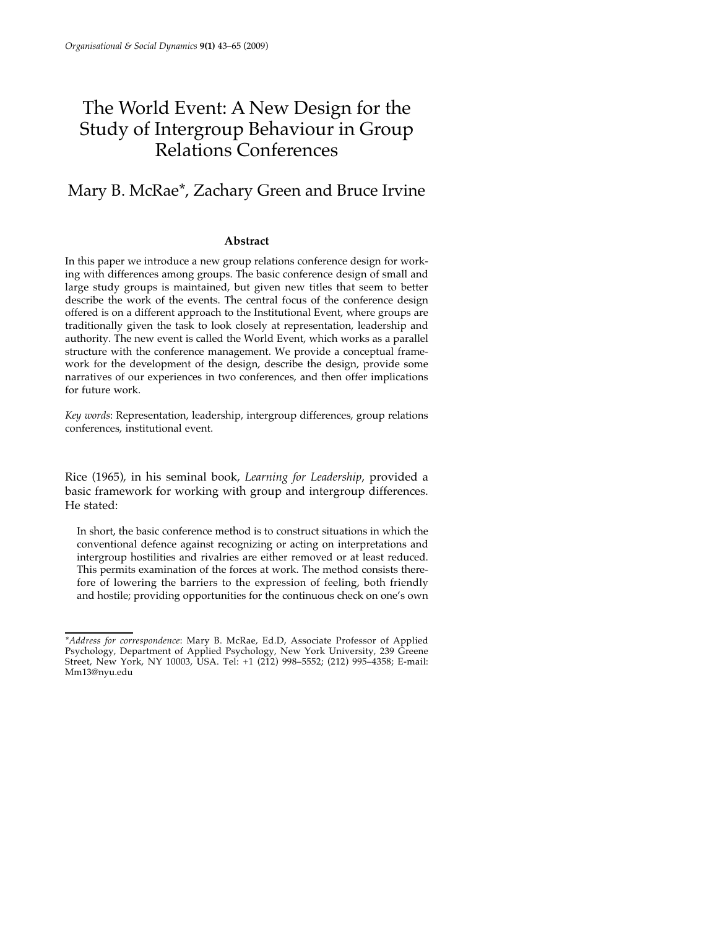# The World Event: A New Design for the Study of Intergroup Behaviour in Group Relations Conferences

## Mary B. McRae\*, Zachary Green and Bruce Irvine

### **Abstract**

In this paper we introduce a new group relations conference design for working with differences among groups. The basic conference design of small and large study groups is maintained, but given new titles that seem to better describe the work of the events. The central focus of the conference design offered is on a different approach to the Institutional Event, where groups are traditionally given the task to look closely at representation, leadership and authority. The new event is called the World Event, which works as a parallel structure with the conference management. We provide a conceptual framework for the development of the design, describe the design, provide some narratives of our experiences in two conferences, and then offer implications for future work.

*Key words*: Representation, leadership, intergroup differences, group relations conferences, institutional event.

Rice (1965), in his seminal book, *Learning for Leadership*, provided a basic framework for working with group and intergroup differences. He stated:

In short, the basic conference method is to construct situations in which the conventional defence against recognizing or acting on interpretations and intergroup hostilities and rivalries are either removed or at least reduced. This permits examination of the forces at work. The method consists therefore of lowering the barriers to the expression of feeling, both friendly and hostile; providing opportunities for the continuous check on one's own

*<sup>\*</sup>Address for correspondence*: Mary B. McRae, Ed.D, Associate Professor of Applied Psychology, Department of Applied Psychology, New York University, 239 Greene Street, New York, NY 10003, USA. Tel: +1 (212) 998–5552; (212) 995–4358; E-mail: Mm13@nyu.edu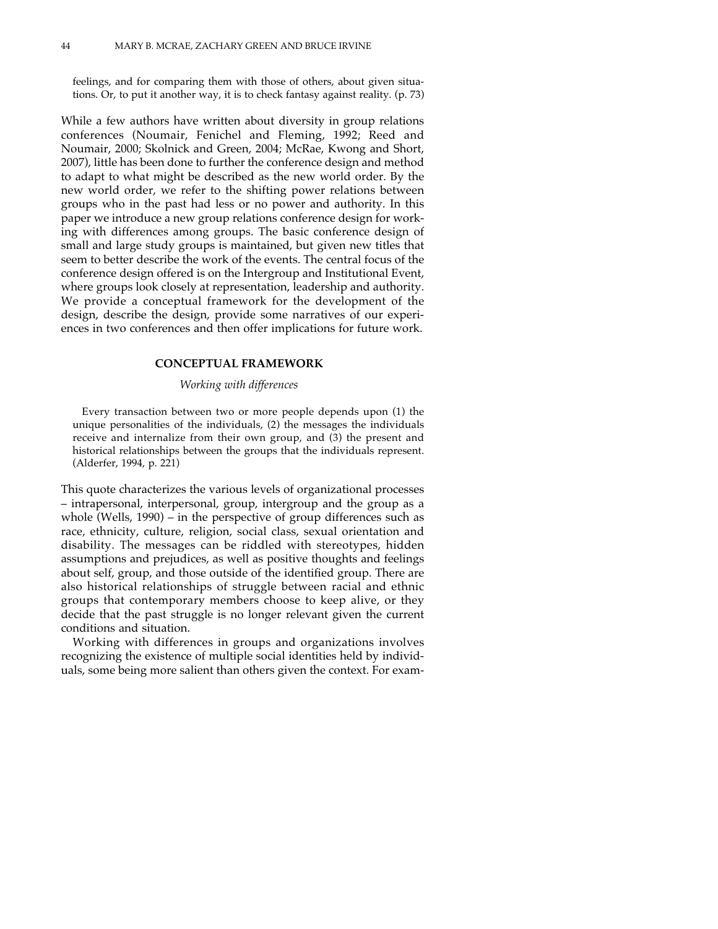feelings, and for comparing them with those of others, about given situations. Or, to put it another way, it is to check fantasy against reality. (p. 73)

While a few authors have written about diversity in group relations conferences (Noumair, Fenichel and Fleming, 1992; Reed and Noumair, 2000; Skolnick and Green, 2004; McRae, Kwong and Short, 2007), little has been done to further the conference design and method to adapt to what might be described as the new world order. By the new world order, we refer to the shifting power relations between groups who in the past had less or no power and authority. In this paper we introduce a new group relations conference design for working with differences among groups. The basic conference design of small and large study groups is maintained, but given new titles that seem to better describe the work of the events. The central focus of the conference design offered is on the Intergroup and Institutional Event, where groups look closely at representation, leadership and authority. We provide a conceptual framework for the development of the design, describe the design, provide some narratives of our experiences in two conferences and then offer implications for future work.

#### **CONCEPTUAL FRAMEWORK**

#### *Working with differences*

Every transaction between two or more people depends upon (1) the unique personalities of the individuals, (2) the messages the individuals receive and internalize from their own group, and (3) the present and historical relationships between the groups that the individuals represent. (Alderfer, 1994, p. 221)

This quote characterizes the various levels of organizational processes – intrapersonal, interpersonal, group, intergroup and the group as a whole (Wells, 1990) – in the perspective of group differences such as race, ethnicity, culture, religion, social class, sexual orientation and disability. The messages can be riddled with stereotypes, hidden assumptions and prejudices, as well as positive thoughts and feelings about self, group, and those outside of the identified group. There are also historical relationships of struggle between racial and ethnic groups that contemporary members choose to keep alive, or they decide that the past struggle is no longer relevant given the current conditions and situation.

Working with differences in groups and organizations involves recognizing the existence of multiple social identities held by individuals, some being more salient than others given the context. For exam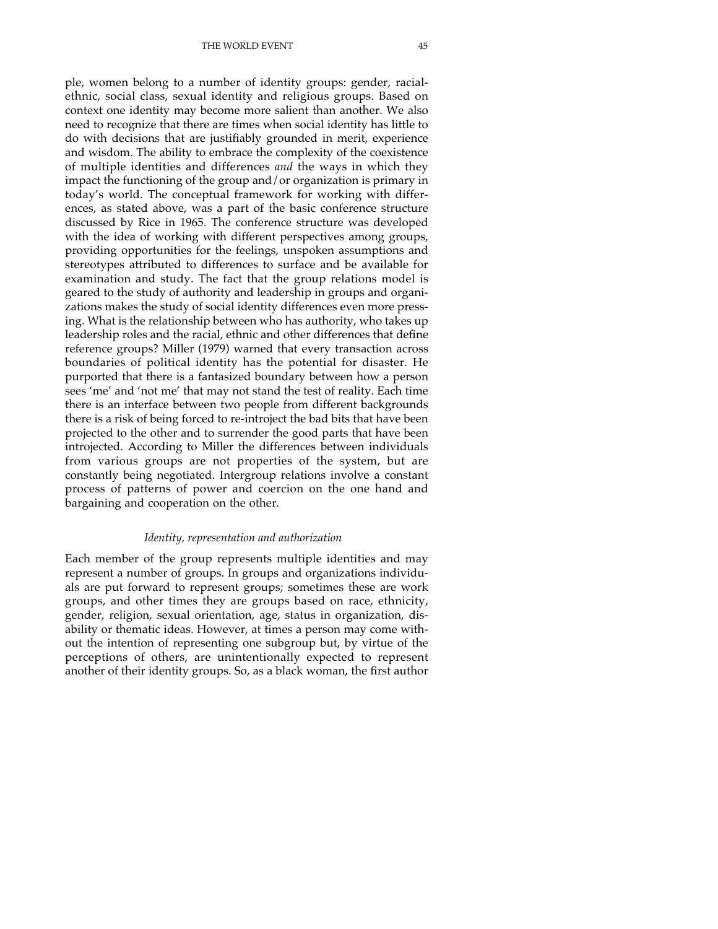THE WORLD EVENT 45

ple, women belong to a number of identity groups: gender, racialethnic, social class, sexual identity and religious groups. Based on context one identity may become more salient than another. We also need to recognize that there are times when social identity has little to do with decisions that are justifiably grounded in merit, experience and wisdom. The ability to embrace the complexity of the coexistence of multiple identities and differences *and* the ways in which they impact the functioning of the group and/or organization is primary in today's world. The conceptual framework for working with differences, as stated above, was a part of the basic conference structure discussed by Rice in 1965. The conference structure was developed with the idea of working with different perspectives among groups, providing opportunities for the feelings, unspoken assumptions and stereotypes attributed to differences to surface and be available for examination and study. The fact that the group relations model is geared to the study of authority and leadership in groups and organizations makes the study of social identity differences even more pressing. What is the relationship between who has authority, who takes up leadership roles and the racial, ethnic and other differences that define reference groups? Miller (1979) warned that every transaction across boundaries of political identity has the potential for disaster. He purported that there is a fantasized boundary between how a person sees 'me' and 'not me' that may not stand the test of reality. Each time there is an interface between two people from different backgrounds there is a risk of being forced to re-introject the bad bits that have been projected to the other and to surrender the good parts that have been introjected. According to Miller the differences between individuals from various groups are not properties of the system, but are constantly being negotiated. Intergroup relations involve a constant process of patterns of power and coercion on the one hand and bargaining and cooperation on the other.

#### *Identity, representation and authorization*

Each member of the group represents multiple identities and may represent a number of groups. In groups and organizations individuals are put forward to represent groups; sometimes these are work groups, and other times they are groups based on race, ethnicity, gender, religion, sexual orientation, age, status in organization, disability or thematic ideas. However, at times a person may come without the intention of representing one subgroup but, by virtue of the perceptions of others, are unintentionally expected to represent another of their identity groups. So, as a black woman, the first author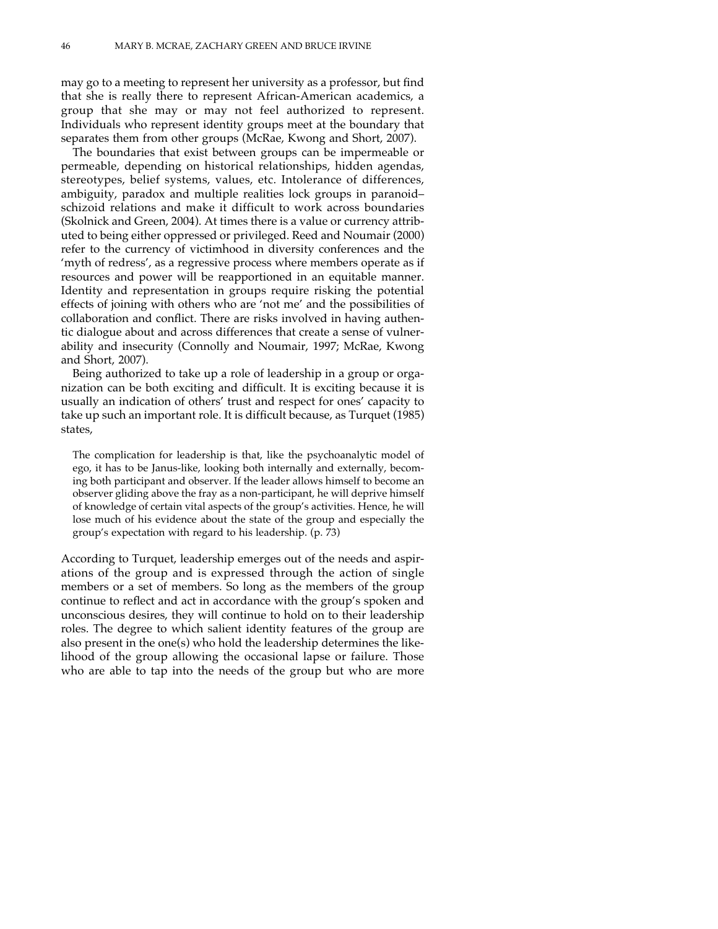may go to a meeting to represent her university as a professor, but find that she is really there to represent African-American academics, a group that she may or may not feel authorized to represent. Individuals who represent identity groups meet at the boundary that separates them from other groups (McRae, Kwong and Short, 2007).

The boundaries that exist between groups can be impermeable or permeable, depending on historical relationships, hidden agendas, stereotypes, belief systems, values, etc. Intolerance of differences, ambiguity, paradox and multiple realities lock groups in paranoid– schizoid relations and make it difficult to work across boundaries (Skolnick and Green, 2004). At times there is a value or currency attributed to being either oppressed or privileged. Reed and Noumair (2000) refer to the currency of victimhood in diversity conferences and the 'myth of redress', as a regressive process where members operate as if resources and power will be reapportioned in an equitable manner. Identity and representation in groups require risking the potential effects of joining with others who are 'not me' and the possibilities of collaboration and conflict. There are risks involved in having authentic dialogue about and across differences that create a sense of vulnerability and insecurity (Connolly and Noumair, 1997; McRae, Kwong and Short, 2007).

Being authorized to take up a role of leadership in a group or organization can be both exciting and difficult. It is exciting because it is usually an indication of others' trust and respect for ones' capacity to take up such an important role. It is difficult because, as Turquet (1985) states,

The complication for leadership is that, like the psychoanalytic model of ego, it has to be Janus-like, looking both internally and externally, becoming both participant and observer. If the leader allows himself to become an observer gliding above the fray as a non-participant, he will deprive himself of knowledge of certain vital aspects of the group's activities. Hence, he will lose much of his evidence about the state of the group and especially the group's expectation with regard to his leadership. (p. 73)

According to Turquet, leadership emerges out of the needs and aspirations of the group and is expressed through the action of single members or a set of members. So long as the members of the group continue to reflect and act in accordance with the group's spoken and unconscious desires, they will continue to hold on to their leadership roles. The degree to which salient identity features of the group are also present in the one(s) who hold the leadership determines the likelihood of the group allowing the occasional lapse or failure. Those who are able to tap into the needs of the group but who are more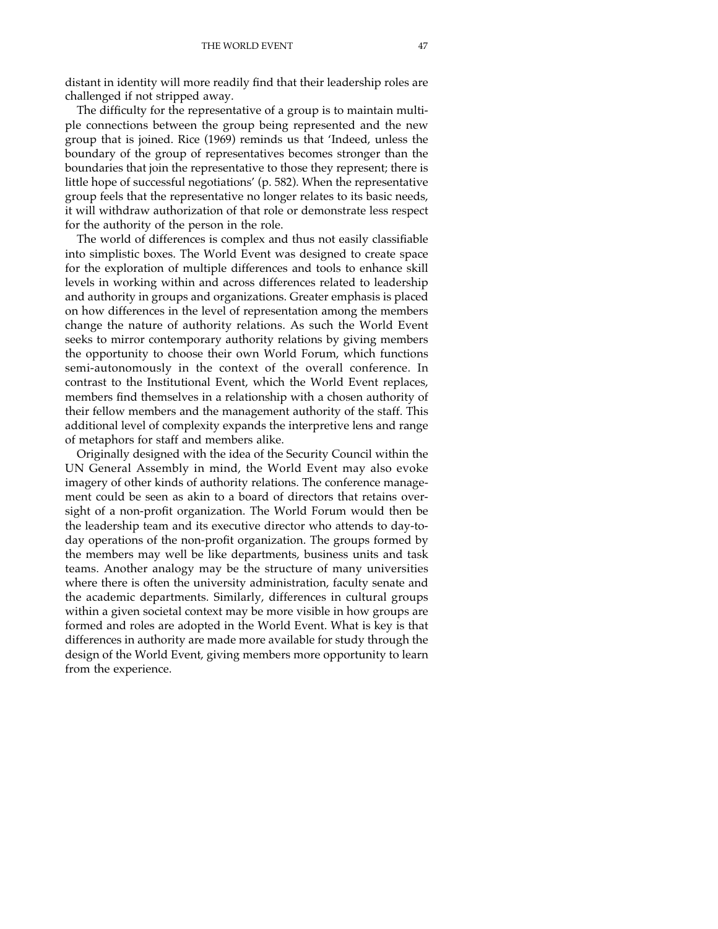distant in identity will more readily find that their leadership roles are challenged if not stripped away.

The difficulty for the representative of a group is to maintain multiple connections between the group being represented and the new group that is joined. Rice (1969) reminds us that 'Indeed, unless the boundary of the group of representatives becomes stronger than the boundaries that join the representative to those they represent; there is little hope of successful negotiations' (p. 582). When the representative group feels that the representative no longer relates to its basic needs, it will withdraw authorization of that role or demonstrate less respect for the authority of the person in the role.

The world of differences is complex and thus not easily classifiable into simplistic boxes. The World Event was designed to create space for the exploration of multiple differences and tools to enhance skill levels in working within and across differences related to leadership and authority in groups and organizations. Greater emphasis is placed on how differences in the level of representation among the members change the nature of authority relations. As such the World Event seeks to mirror contemporary authority relations by giving members the opportunity to choose their own World Forum, which functions semi-autonomously in the context of the overall conference. In contrast to the Institutional Event, which the World Event replaces, members find themselves in a relationship with a chosen authority of their fellow members and the management authority of the staff. This additional level of complexity expands the interpretive lens and range of metaphors for staff and members alike.

Originally designed with the idea of the Security Council within the UN General Assembly in mind, the World Event may also evoke imagery of other kinds of authority relations. The conference management could be seen as akin to a board of directors that retains oversight of a non-profit organization. The World Forum would then be the leadership team and its executive director who attends to day-today operations of the non-profit organization. The groups formed by the members may well be like departments, business units and task teams. Another analogy may be the structure of many universities where there is often the university administration, faculty senate and the academic departments. Similarly, differences in cultural groups within a given societal context may be more visible in how groups are formed and roles are adopted in the World Event. What is key is that differences in authority are made more available for study through the design of the World Event, giving members more opportunity to learn from the experience.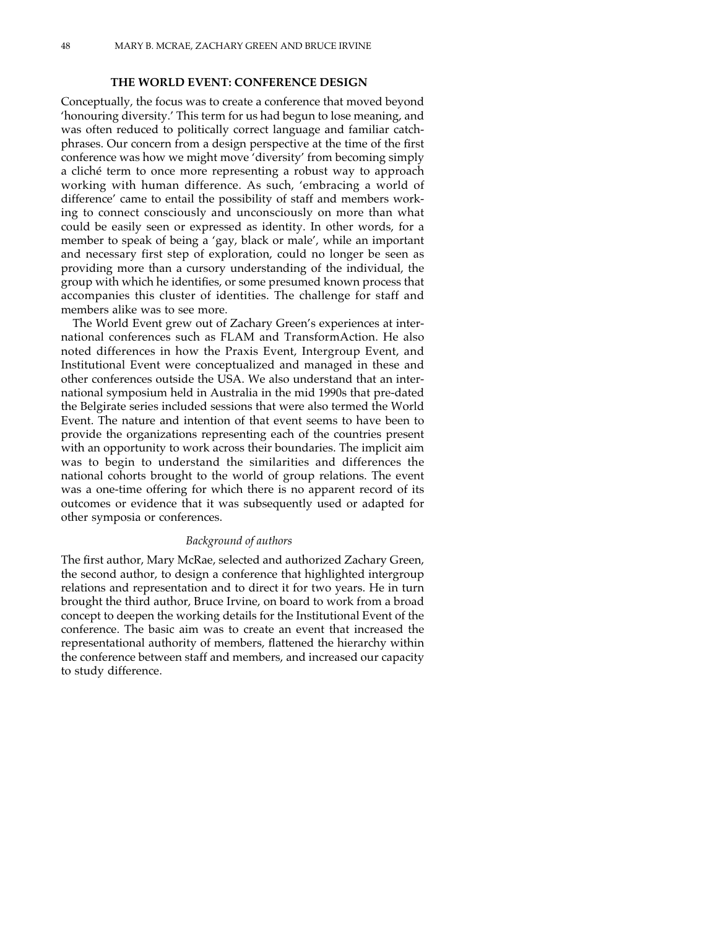#### **THE WORLD EVENT: CONFERENCE DESIGN**

Conceptually, the focus was to create a conference that moved beyond 'honouring diversity.' This term for us had begun to lose meaning, and was often reduced to politically correct language and familiar catchphrases. Our concern from a design perspective at the time of the first conference was how we might move 'diversity' from becoming simply a cliché term to once more representing a robust way to approach working with human difference. As such, 'embracing a world of difference' came to entail the possibility of staff and members working to connect consciously and unconsciously on more than what could be easily seen or expressed as identity. In other words, for a member to speak of being a 'gay, black or male', while an important and necessary first step of exploration, could no longer be seen as providing more than a cursory understanding of the individual, the group with which he identifies, or some presumed known process that accompanies this cluster of identities. The challenge for staff and members alike was to see more.

The World Event grew out of Zachary Green's experiences at international conferences such as FLAM and TransformAction. He also noted differences in how the Praxis Event, Intergroup Event, and Institutional Event were conceptualized and managed in these and other conferences outside the USA. We also understand that an international symposium held in Australia in the mid 1990s that pre-dated the Belgirate series included sessions that were also termed the World Event. The nature and intention of that event seems to have been to provide the organizations representing each of the countries present with an opportunity to work across their boundaries. The implicit aim was to begin to understand the similarities and differences the national cohorts brought to the world of group relations. The event was a one-time offering for which there is no apparent record of its outcomes or evidence that it was subsequently used or adapted for other symposia or conferences.

#### *Background of authors*

The first author, Mary McRae, selected and authorized Zachary Green, the second author, to design a conference that highlighted intergroup relations and representation and to direct it for two years. He in turn brought the third author, Bruce Irvine, on board to work from a broad concept to deepen the working details for the Institutional Event of the conference. The basic aim was to create an event that increased the representational authority of members, flattened the hierarchy within the conference between staff and members, and increased our capacity to study difference.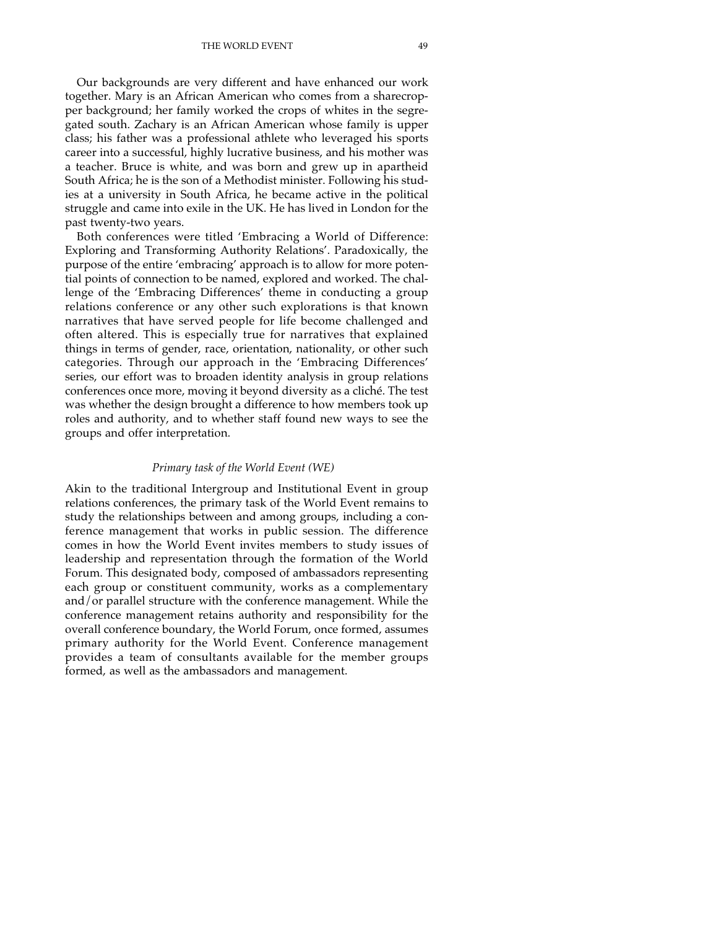THE WORLD EVENT 49

Our backgrounds are very different and have enhanced our work together. Mary is an African American who comes from a sharecropper background; her family worked the crops of whites in the segregated south. Zachary is an African American whose family is upper class; his father was a professional athlete who leveraged his sports career into a successful, highly lucrative business, and his mother was a teacher. Bruce is white, and was born and grew up in apartheid South Africa; he is the son of a Methodist minister. Following his studies at a university in South Africa, he became active in the political struggle and came into exile in the UK. He has lived in London for the past twenty-two years.

Both conferences were titled 'Embracing a World of Difference: Exploring and Transforming Authority Relations'. Paradoxically, the purpose of the entire 'embracing' approach is to allow for more potential points of connection to be named, explored and worked. The challenge of the 'Embracing Differences' theme in conducting a group relations conference or any other such explorations is that known narratives that have served people for life become challenged and often altered. This is especially true for narratives that explained things in terms of gender, race, orientation, nationality, or other such categories. Through our approach in the 'Embracing Differences' series, our effort was to broaden identity analysis in group relations conferences once more, moving it beyond diversity as a cliché. The test was whether the design brought a difference to how members took up roles and authority, and to whether staff found new ways to see the groups and offer interpretation.

#### *Primary task of the World Event (WE)*

Akin to the traditional Intergroup and Institutional Event in group relations conferences, the primary task of the World Event remains to study the relationships between and among groups, including a conference management that works in public session. The difference comes in how the World Event invites members to study issues of leadership and representation through the formation of the World Forum. This designated body, composed of ambassadors representing each group or constituent community, works as a complementary and/or parallel structure with the conference management. While the conference management retains authority and responsibility for the overall conference boundary, the World Forum, once formed, assumes primary authority for the World Event. Conference management provides a team of consultants available for the member groups formed, as well as the ambassadors and management.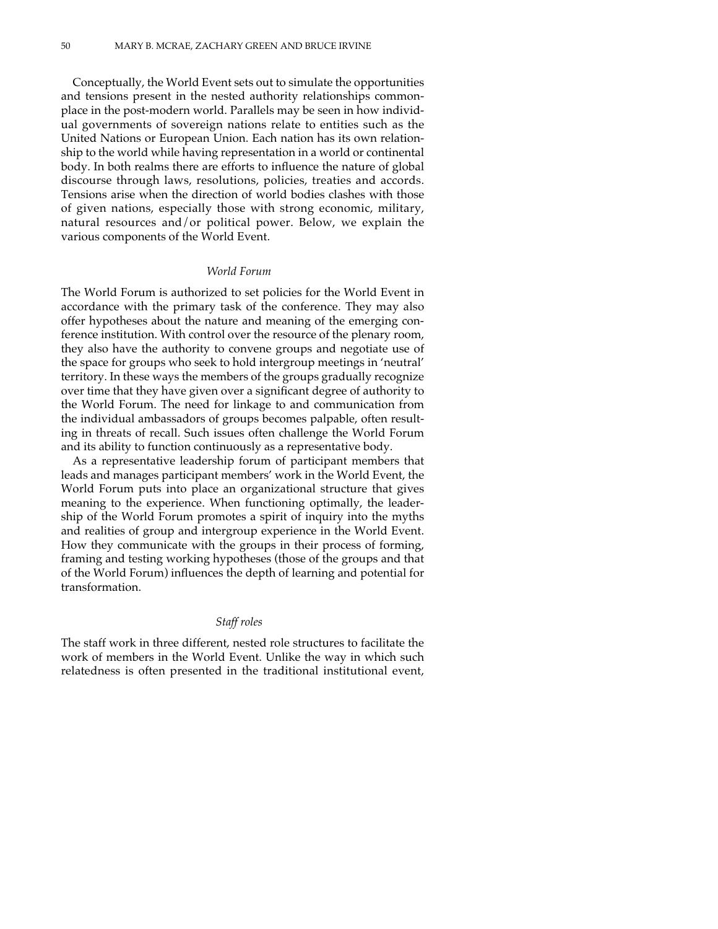Conceptually, the World Event sets out to simulate the opportunities and tensions present in the nested authority relationships commonplace in the post-modern world. Parallels may be seen in how individual governments of sovereign nations relate to entities such as the United Nations or European Union. Each nation has its own relationship to the world while having representation in a world or continental body. In both realms there are efforts to influence the nature of global discourse through laws, resolutions, policies, treaties and accords. Tensions arise when the direction of world bodies clashes with those of given nations, especially those with strong economic, military, natural resources and/or political power. Below, we explain the various components of the World Event.

#### *World Forum*

The World Forum is authorized to set policies for the World Event in accordance with the primary task of the conference. They may also offer hypotheses about the nature and meaning of the emerging conference institution. With control over the resource of the plenary room, they also have the authority to convene groups and negotiate use of the space for groups who seek to hold intergroup meetings in 'neutral' territory. In these ways the members of the groups gradually recognize over time that they have given over a significant degree of authority to the World Forum. The need for linkage to and communication from the individual ambassadors of groups becomes palpable, often resulting in threats of recall. Such issues often challenge the World Forum and its ability to function continuously as a representative body.

As a representative leadership forum of participant members that leads and manages participant members' work in the World Event, the World Forum puts into place an organizational structure that gives meaning to the experience. When functioning optimally, the leadership of the World Forum promotes a spirit of inquiry into the myths and realities of group and intergroup experience in the World Event. How they communicate with the groups in their process of forming, framing and testing working hypotheses (those of the groups and that of the World Forum) influences the depth of learning and potential for transformation.

#### *Staff roles*

The staff work in three different, nested role structures to facilitate the work of members in the World Event. Unlike the way in which such relatedness is often presented in the traditional institutional event,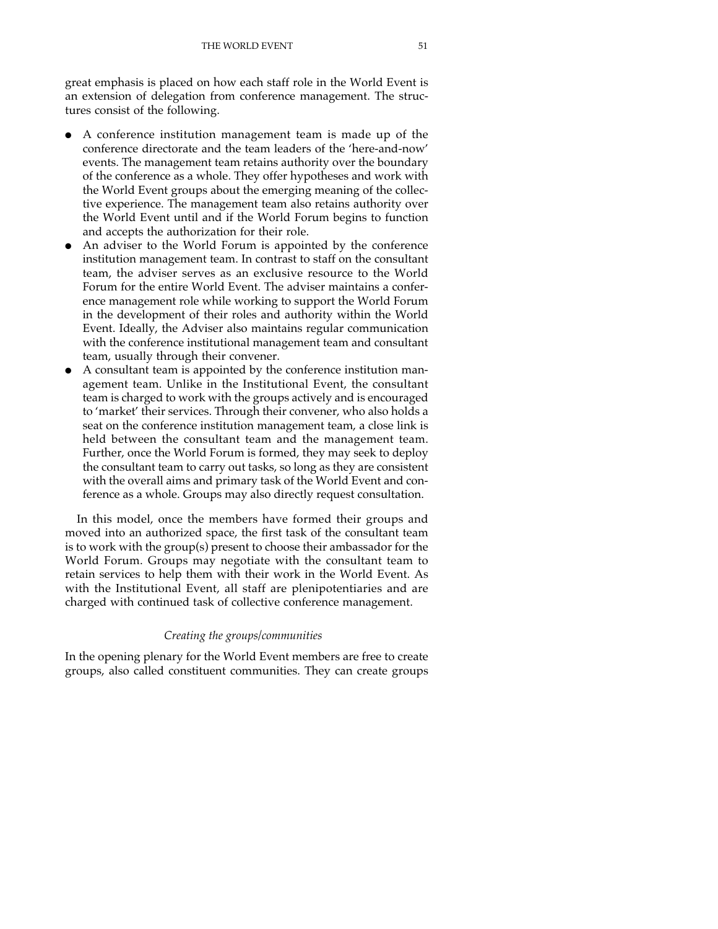great emphasis is placed on how each staff role in the World Event is an extension of delegation from conference management. The structures consist of the following.

- A conference institution management team is made up of the conference directorate and the team leaders of the 'here-and-now' events. The management team retains authority over the boundary of the conference as a whole. They offer hypotheses and work with the World Event groups about the emerging meaning of the collective experience. The management team also retains authority over the World Event until and if the World Forum begins to function and accepts the authorization for their role.
- An adviser to the World Forum is appointed by the conference institution management team. In contrast to staff on the consultant team, the adviser serves as an exclusive resource to the World Forum for the entire World Event. The adviser maintains a conference management role while working to support the World Forum in the development of their roles and authority within the World Event. Ideally, the Adviser also maintains regular communication with the conference institutional management team and consultant team, usually through their convener.
- A consultant team is appointed by the conference institution management team. Unlike in the Institutional Event, the consultant team is charged to work with the groups actively and is encouraged to 'market' their services. Through their convener, who also holds a seat on the conference institution management team, a close link is held between the consultant team and the management team. Further, once the World Forum is formed, they may seek to deploy the consultant team to carry out tasks, so long as they are consistent with the overall aims and primary task of the World Event and conference as a whole. Groups may also directly request consultation.

In this model, once the members have formed their groups and moved into an authorized space, the first task of the consultant team is to work with the group(s) present to choose their ambassador for the World Forum. Groups may negotiate with the consultant team to retain services to help them with their work in the World Event. As with the Institutional Event, all staff are plenipotentiaries and are charged with continued task of collective conference management.

#### *Creating the groups/communities*

In the opening plenary for the World Event members are free to create groups, also called constituent communities. They can create groups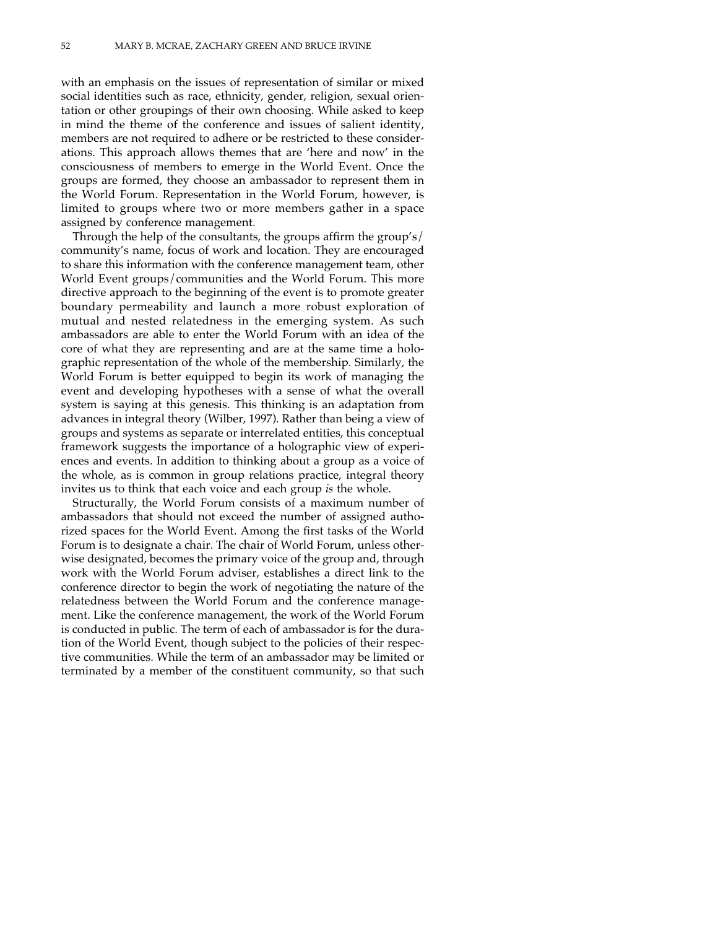with an emphasis on the issues of representation of similar or mixed social identities such as race, ethnicity, gender, religion, sexual orientation or other groupings of their own choosing. While asked to keep in mind the theme of the conference and issues of salient identity, members are not required to adhere or be restricted to these considerations. This approach allows themes that are 'here and now' in the consciousness of members to emerge in the World Event. Once the groups are formed, they choose an ambassador to represent them in the World Forum. Representation in the World Forum, however, is limited to groups where two or more members gather in a space assigned by conference management.

Through the help of the consultants, the groups affirm the group's/ community's name, focus of work and location. They are encouraged to share this information with the conference management team, other World Event groups/communities and the World Forum. This more directive approach to the beginning of the event is to promote greater boundary permeability and launch a more robust exploration of mutual and nested relatedness in the emerging system. As such ambassadors are able to enter the World Forum with an idea of the core of what they are representing and are at the same time a holographic representation of the whole of the membership. Similarly, the World Forum is better equipped to begin its work of managing the event and developing hypotheses with a sense of what the overall system is saying at this genesis. This thinking is an adaptation from advances in integral theory (Wilber, 1997). Rather than being a view of groups and systems as separate or interrelated entities, this conceptual framework suggests the importance of a holographic view of experiences and events. In addition to thinking about a group as a voice of the whole, as is common in group relations practice, integral theory invites us to think that each voice and each group *is* the whole.

Structurally, the World Forum consists of a maximum number of ambassadors that should not exceed the number of assigned authorized spaces for the World Event. Among the first tasks of the World Forum is to designate a chair. The chair of World Forum, unless otherwise designated, becomes the primary voice of the group and, through work with the World Forum adviser, establishes a direct link to the conference director to begin the work of negotiating the nature of the relatedness between the World Forum and the conference management. Like the conference management, the work of the World Forum is conducted in public. The term of each of ambassador is for the duration of the World Event, though subject to the policies of their respective communities. While the term of an ambassador may be limited or terminated by a member of the constituent community, so that such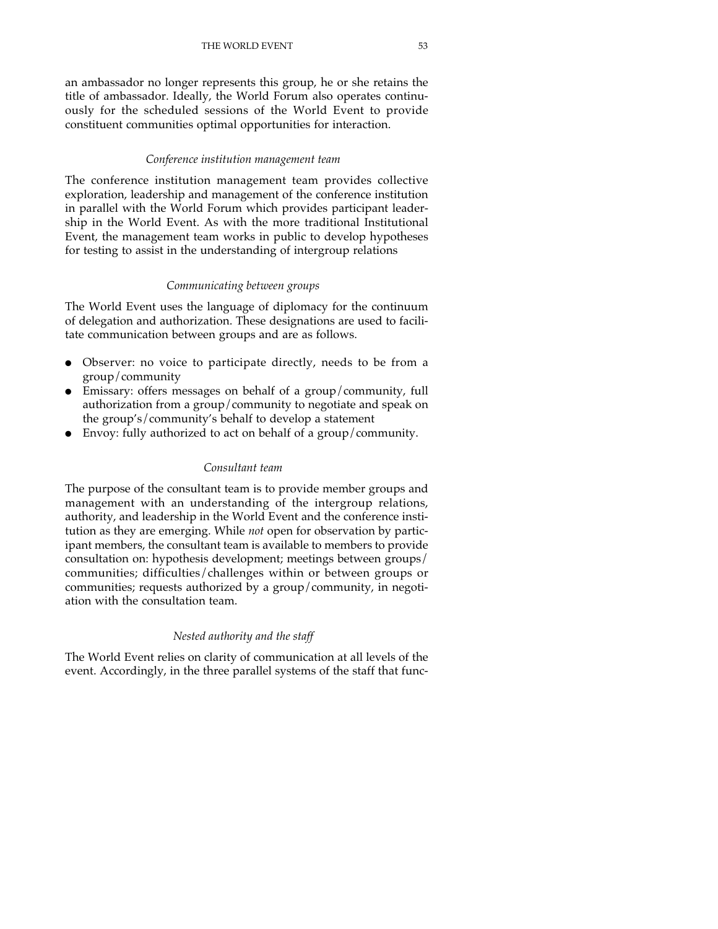an ambassador no longer represents this group, he or she retains the title of ambassador. Ideally, the World Forum also operates continuously for the scheduled sessions of the World Event to provide constituent communities optimal opportunities for interaction.

## *Conference institution management team*

The conference institution management team provides collective exploration, leadership and management of the conference institution in parallel with the World Forum which provides participant leadership in the World Event. As with the more traditional Institutional Event, the management team works in public to develop hypotheses for testing to assist in the understanding of intergroup relations

## *Communicating between groups*

The World Event uses the language of diplomacy for the continuum of delegation and authorization. These designations are used to facilitate communication between groups and are as follows.

- Observer: no voice to participate directly, needs to be from a group/community
- Emissary: offers messages on behalf of a group/community, full authorization from a group/community to negotiate and speak on the group's/community's behalf to develop a statement
- Envoy: fully authorized to act on behalf of a group/community.

## *Consultant team*

The purpose of the consultant team is to provide member groups and management with an understanding of the intergroup relations, authority, and leadership in the World Event and the conference institution as they are emerging. While *not* open for observation by participant members, the consultant team is available to members to provide consultation on: hypothesis development; meetings between groups/ communities; difficulties/challenges within or between groups or communities; requests authorized by a group/community, in negotiation with the consultation team.

## *Nested authority and the staff*

The World Event relies on clarity of communication at all levels of the event. Accordingly, in the three parallel systems of the staff that func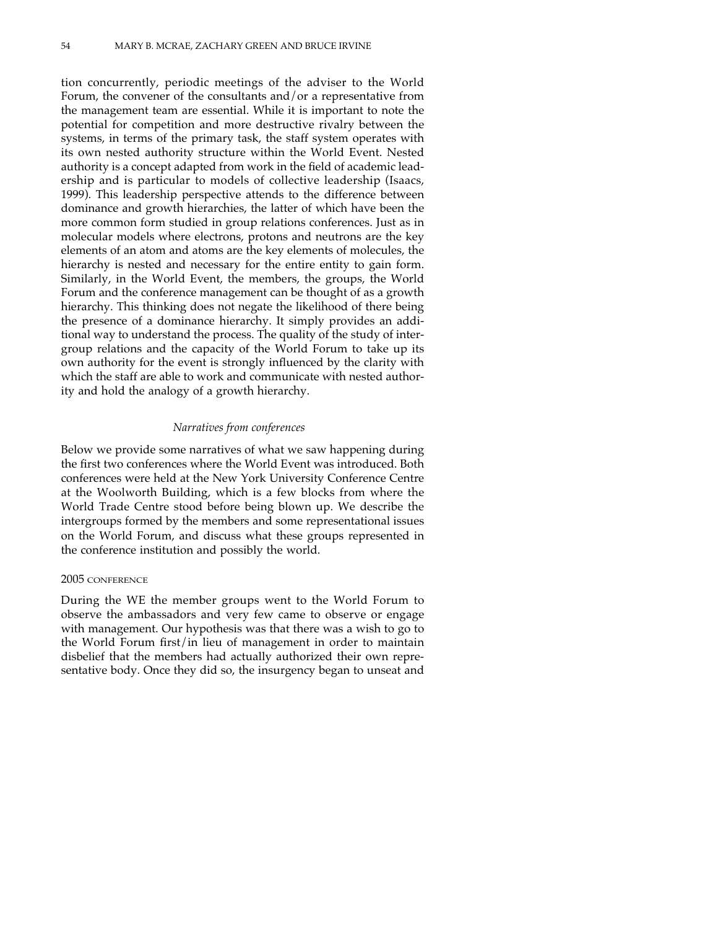tion concurrently, periodic meetings of the adviser to the World Forum, the convener of the consultants and/or a representative from the management team are essential. While it is important to note the potential for competition and more destructive rivalry between the systems, in terms of the primary task, the staff system operates with its own nested authority structure within the World Event. Nested authority is a concept adapted from work in the field of academic leadership and is particular to models of collective leadership (Isaacs, 1999). This leadership perspective attends to the difference between dominance and growth hierarchies, the latter of which have been the more common form studied in group relations conferences. Just as in molecular models where electrons, protons and neutrons are the key elements of an atom and atoms are the key elements of molecules, the hierarchy is nested and necessary for the entire entity to gain form. Similarly, in the World Event, the members, the groups, the World Forum and the conference management can be thought of as a growth hierarchy. This thinking does not negate the likelihood of there being the presence of a dominance hierarchy. It simply provides an additional way to understand the process. The quality of the study of intergroup relations and the capacity of the World Forum to take up its own authority for the event is strongly influenced by the clarity with which the staff are able to work and communicate with nested authority and hold the analogy of a growth hierarchy.

#### *Narratives from conferences*

Below we provide some narratives of what we saw happening during the first two conferences where the World Event was introduced. Both conferences were held at the New York University Conference Centre at the Woolworth Building, which is a few blocks from where the World Trade Centre stood before being blown up. We describe the intergroups formed by the members and some representational issues on the World Forum, and discuss what these groups represented in the conference institution and possibly the world.

## 2005 CONFERENCE

During the WE the member groups went to the World Forum to observe the ambassadors and very few came to observe or engage with management. Our hypothesis was that there was a wish to go to the World Forum first/in lieu of management in order to maintain disbelief that the members had actually authorized their own representative body. Once they did so, the insurgency began to unseat and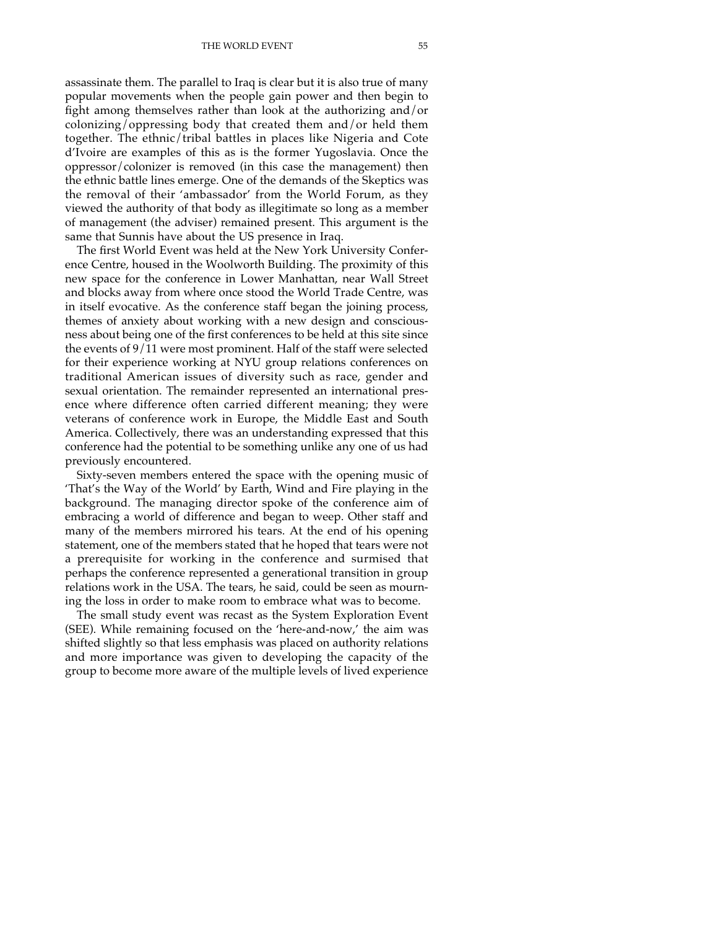assassinate them. The parallel to Iraq is clear but it is also true of many popular movements when the people gain power and then begin to fight among themselves rather than look at the authorizing and/or colonizing/oppressing body that created them and/or held them together. The ethnic/tribal battles in places like Nigeria and Cote d'Ivoire are examples of this as is the former Yugoslavia. Once the oppressor/colonizer is removed (in this case the management) then the ethnic battle lines emerge. One of the demands of the Skeptics was the removal of their 'ambassador' from the World Forum, as they viewed the authority of that body as illegitimate so long as a member of management (the adviser) remained present. This argument is the same that Sunnis have about the US presence in Iraq.

The first World Event was held at the New York University Conference Centre, housed in the Woolworth Building. The proximity of this new space for the conference in Lower Manhattan, near Wall Street and blocks away from where once stood the World Trade Centre, was in itself evocative. As the conference staff began the joining process, themes of anxiety about working with a new design and consciousness about being one of the first conferences to be held at this site since the events of 9/11 were most prominent. Half of the staff were selected for their experience working at NYU group relations conferences on traditional American issues of diversity such as race, gender and sexual orientation. The remainder represented an international presence where difference often carried different meaning; they were veterans of conference work in Europe, the Middle East and South America. Collectively, there was an understanding expressed that this conference had the potential to be something unlike any one of us had previously encountered.

Sixty-seven members entered the space with the opening music of 'That's the Way of the World' by Earth, Wind and Fire playing in the background. The managing director spoke of the conference aim of embracing a world of difference and began to weep. Other staff and many of the members mirrored his tears. At the end of his opening statement, one of the members stated that he hoped that tears were not a prerequisite for working in the conference and surmised that perhaps the conference represented a generational transition in group relations work in the USA. The tears, he said, could be seen as mourning the loss in order to make room to embrace what was to become.

The small study event was recast as the System Exploration Event (SEE). While remaining focused on the 'here-and-now,' the aim was shifted slightly so that less emphasis was placed on authority relations and more importance was given to developing the capacity of the group to become more aware of the multiple levels of lived experience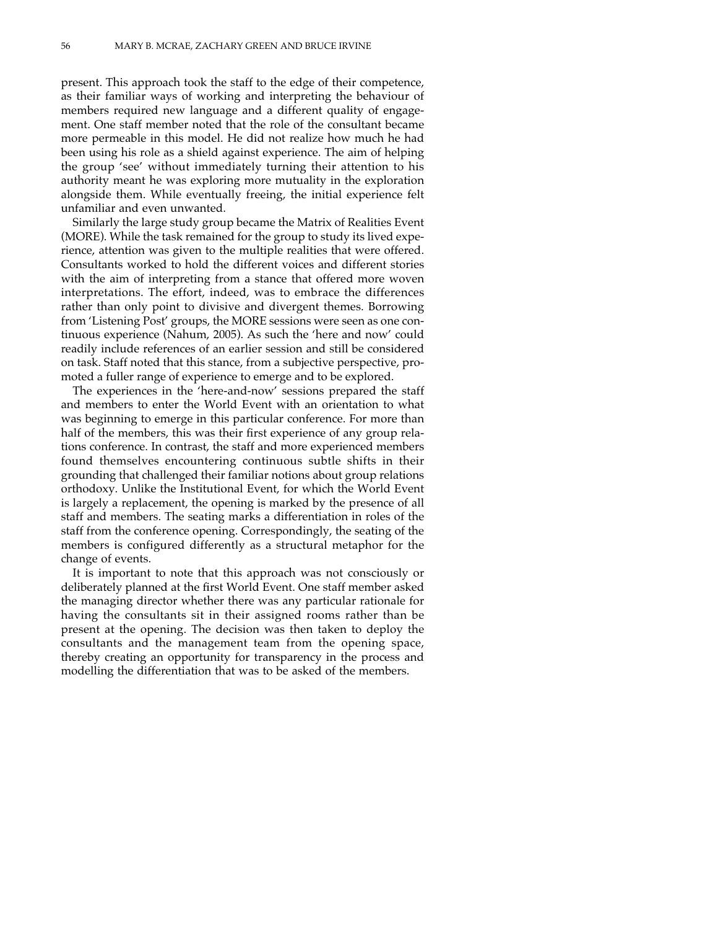present. This approach took the staff to the edge of their competence, as their familiar ways of working and interpreting the behaviour of members required new language and a different quality of engagement. One staff member noted that the role of the consultant became more permeable in this model. He did not realize how much he had been using his role as a shield against experience. The aim of helping the group 'see' without immediately turning their attention to his authority meant he was exploring more mutuality in the exploration alongside them. While eventually freeing, the initial experience felt unfamiliar and even unwanted.

Similarly the large study group became the Matrix of Realities Event (MORE). While the task remained for the group to study its lived experience, attention was given to the multiple realities that were offered. Consultants worked to hold the different voices and different stories with the aim of interpreting from a stance that offered more woven interpretations. The effort, indeed, was to embrace the differences rather than only point to divisive and divergent themes. Borrowing from 'Listening Post' groups, the MORE sessions were seen as one continuous experience (Nahum, 2005). As such the 'here and now' could readily include references of an earlier session and still be considered on task. Staff noted that this stance, from a subjective perspective, promoted a fuller range of experience to emerge and to be explored.

The experiences in the 'here-and-now' sessions prepared the staff and members to enter the World Event with an orientation to what was beginning to emerge in this particular conference. For more than half of the members, this was their first experience of any group relations conference. In contrast, the staff and more experienced members found themselves encountering continuous subtle shifts in their grounding that challenged their familiar notions about group relations orthodoxy. Unlike the Institutional Event, for which the World Event is largely a replacement, the opening is marked by the presence of all staff and members. The seating marks a differentiation in roles of the staff from the conference opening. Correspondingly, the seating of the members is configured differently as a structural metaphor for the change of events.

It is important to note that this approach was not consciously or deliberately planned at the first World Event. One staff member asked the managing director whether there was any particular rationale for having the consultants sit in their assigned rooms rather than be present at the opening. The decision was then taken to deploy the consultants and the management team from the opening space, thereby creating an opportunity for transparency in the process and modelling the differentiation that was to be asked of the members.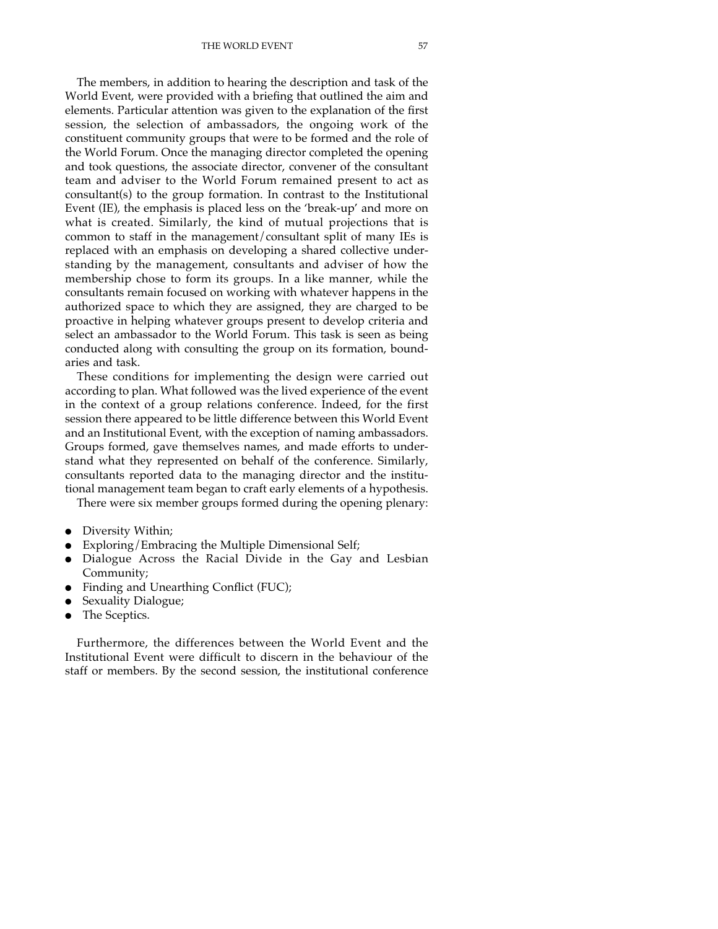THE WORLD EVENT 57

The members, in addition to hearing the description and task of the World Event, were provided with a briefing that outlined the aim and elements. Particular attention was given to the explanation of the first session, the selection of ambassadors, the ongoing work of the constituent community groups that were to be formed and the role of the World Forum. Once the managing director completed the opening and took questions, the associate director, convener of the consultant team and adviser to the World Forum remained present to act as consultant(s) to the group formation. In contrast to the Institutional Event (IE), the emphasis is placed less on the 'break-up' and more on what is created. Similarly, the kind of mutual projections that is common to staff in the management/consultant split of many IEs is replaced with an emphasis on developing a shared collective understanding by the management, consultants and adviser of how the membership chose to form its groups. In a like manner, while the consultants remain focused on working with whatever happens in the authorized space to which they are assigned, they are charged to be proactive in helping whatever groups present to develop criteria and select an ambassador to the World Forum. This task is seen as being conducted along with consulting the group on its formation, boundaries and task.

These conditions for implementing the design were carried out according to plan. What followed was the lived experience of the event in the context of a group relations conference. Indeed, for the first session there appeared to be little difference between this World Event and an Institutional Event, with the exception of naming ambassadors. Groups formed, gave themselves names, and made efforts to understand what they represented on behalf of the conference. Similarly, consultants reported data to the managing director and the institutional management team began to craft early elements of a hypothesis.

There were six member groups formed during the opening plenary:

- Diversity Within;
- Exploring/Embracing the Multiple Dimensional Self;
- Dialogue Across the Racial Divide in the Gay and Lesbian Community;
- Finding and Unearthing Conflict (FUC);
- Sexuality Dialogue;
- The Sceptics.

Furthermore, the differences between the World Event and the Institutional Event were difficult to discern in the behaviour of the staff or members. By the second session, the institutional conference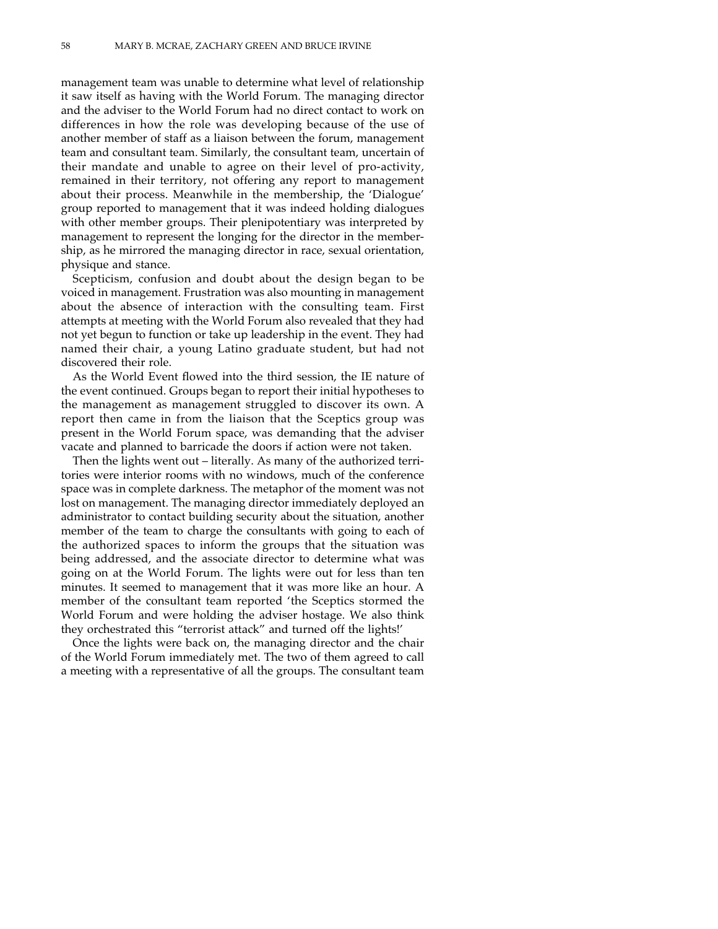management team was unable to determine what level of relationship it saw itself as having with the World Forum. The managing director and the adviser to the World Forum had no direct contact to work on differences in how the role was developing because of the use of another member of staff as a liaison between the forum, management team and consultant team. Similarly, the consultant team, uncertain of their mandate and unable to agree on their level of pro-activity, remained in their territory, not offering any report to management about their process. Meanwhile in the membership, the 'Dialogue' group reported to management that it was indeed holding dialogues with other member groups. Their plenipotentiary was interpreted by management to represent the longing for the director in the membership, as he mirrored the managing director in race, sexual orientation, physique and stance.

Scepticism, confusion and doubt about the design began to be voiced in management. Frustration was also mounting in management about the absence of interaction with the consulting team. First attempts at meeting with the World Forum also revealed that they had not yet begun to function or take up leadership in the event. They had named their chair, a young Latino graduate student, but had not discovered their role.

As the World Event flowed into the third session, the IE nature of the event continued. Groups began to report their initial hypotheses to the management as management struggled to discover its own. A report then came in from the liaison that the Sceptics group was present in the World Forum space, was demanding that the adviser vacate and planned to barricade the doors if action were not taken.

Then the lights went out – literally. As many of the authorized territories were interior rooms with no windows, much of the conference space was in complete darkness. The metaphor of the moment was not lost on management. The managing director immediately deployed an administrator to contact building security about the situation, another member of the team to charge the consultants with going to each of the authorized spaces to inform the groups that the situation was being addressed, and the associate director to determine what was going on at the World Forum. The lights were out for less than ten minutes. It seemed to management that it was more like an hour. A member of the consultant team reported 'the Sceptics stormed the World Forum and were holding the adviser hostage. We also think they orchestrated this "terrorist attack" and turned off the lights!'

Once the lights were back on, the managing director and the chair of the World Forum immediately met. The two of them agreed to call a meeting with a representative of all the groups. The consultant team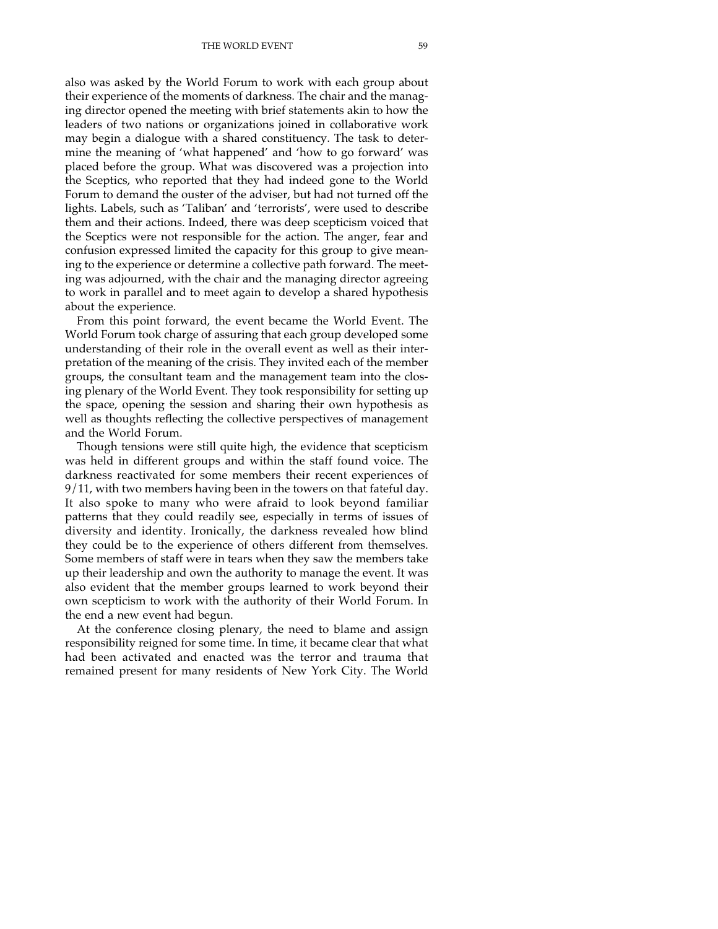also was asked by the World Forum to work with each group about their experience of the moments of darkness. The chair and the managing director opened the meeting with brief statements akin to how the leaders of two nations or organizations joined in collaborative work may begin a dialogue with a shared constituency. The task to determine the meaning of 'what happened' and 'how to go forward' was placed before the group. What was discovered was a projection into the Sceptics, who reported that they had indeed gone to the World Forum to demand the ouster of the adviser, but had not turned off the lights. Labels, such as 'Taliban' and 'terrorists', were used to describe them and their actions. Indeed, there was deep scepticism voiced that the Sceptics were not responsible for the action. The anger, fear and confusion expressed limited the capacity for this group to give meaning to the experience or determine a collective path forward. The meeting was adjourned, with the chair and the managing director agreeing to work in parallel and to meet again to develop a shared hypothesis about the experience.

From this point forward, the event became the World Event. The World Forum took charge of assuring that each group developed some understanding of their role in the overall event as well as their interpretation of the meaning of the crisis. They invited each of the member groups, the consultant team and the management team into the closing plenary of the World Event. They took responsibility for setting up the space, opening the session and sharing their own hypothesis as well as thoughts reflecting the collective perspectives of management and the World Forum.

Though tensions were still quite high, the evidence that scepticism was held in different groups and within the staff found voice. The darkness reactivated for some members their recent experiences of 9/11, with two members having been in the towers on that fateful day. It also spoke to many who were afraid to look beyond familiar patterns that they could readily see, especially in terms of issues of diversity and identity. Ironically, the darkness revealed how blind they could be to the experience of others different from themselves. Some members of staff were in tears when they saw the members take up their leadership and own the authority to manage the event. It was also evident that the member groups learned to work beyond their own scepticism to work with the authority of their World Forum. In the end a new event had begun.

At the conference closing plenary, the need to blame and assign responsibility reigned for some time. In time, it became clear that what had been activated and enacted was the terror and trauma that remained present for many residents of New York City. The World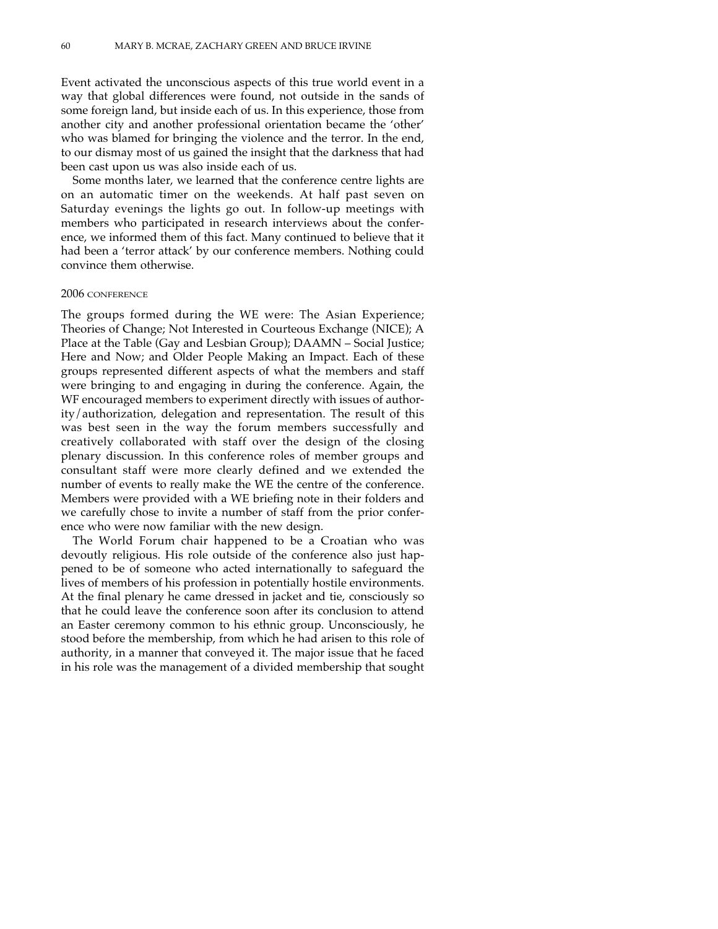Event activated the unconscious aspects of this true world event in a way that global differences were found, not outside in the sands of some foreign land, but inside each of us. In this experience, those from another city and another professional orientation became the 'other' who was blamed for bringing the violence and the terror. In the end, to our dismay most of us gained the insight that the darkness that had been cast upon us was also inside each of us.

Some months later, we learned that the conference centre lights are on an automatic timer on the weekends. At half past seven on Saturday evenings the lights go out. In follow-up meetings with members who participated in research interviews about the conference, we informed them of this fact. Many continued to believe that it had been a 'terror attack' by our conference members. Nothing could convince them otherwise.

#### 2006 CONFERENCE

The groups formed during the WE were: The Asian Experience; Theories of Change; Not Interested in Courteous Exchange (NICE); A Place at the Table (Gay and Lesbian Group); DAAMN – Social Justice; Here and Now; and Older People Making an Impact. Each of these groups represented different aspects of what the members and staff were bringing to and engaging in during the conference. Again, the WF encouraged members to experiment directly with issues of authority/authorization, delegation and representation. The result of this was best seen in the way the forum members successfully and creatively collaborated with staff over the design of the closing plenary discussion. In this conference roles of member groups and consultant staff were more clearly defined and we extended the number of events to really make the WE the centre of the conference. Members were provided with a WE briefing note in their folders and we carefully chose to invite a number of staff from the prior conference who were now familiar with the new design.

The World Forum chair happened to be a Croatian who was devoutly religious. His role outside of the conference also just happened to be of someone who acted internationally to safeguard the lives of members of his profession in potentially hostile environments. At the final plenary he came dressed in jacket and tie, consciously so that he could leave the conference soon after its conclusion to attend an Easter ceremony common to his ethnic group. Unconsciously, he stood before the membership, from which he had arisen to this role of authority, in a manner that conveyed it. The major issue that he faced in his role was the management of a divided membership that sought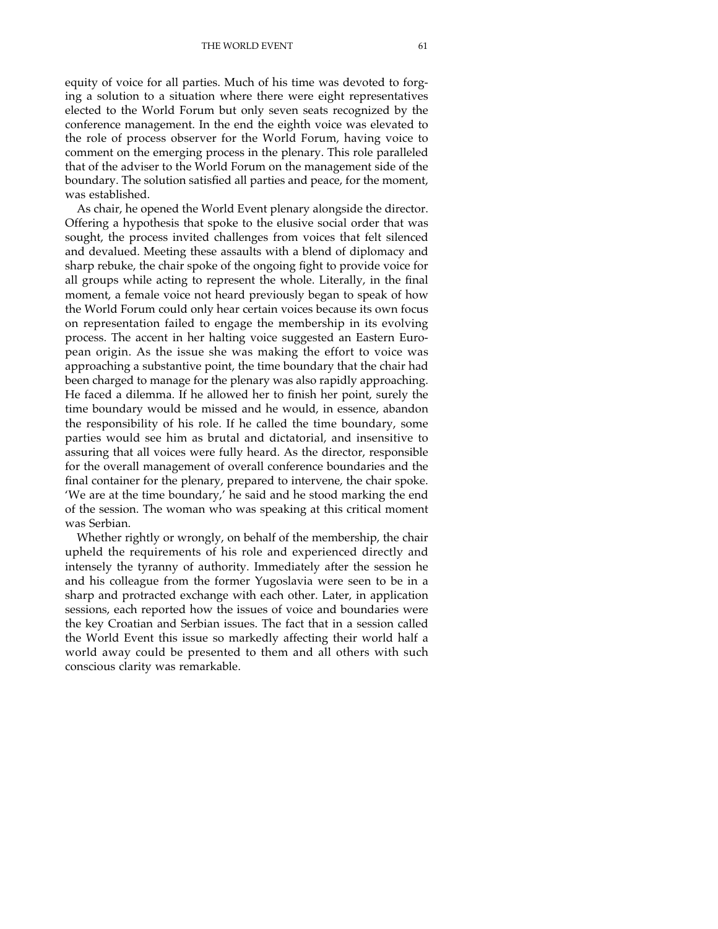equity of voice for all parties. Much of his time was devoted to forging a solution to a situation where there were eight representatives elected to the World Forum but only seven seats recognized by the conference management. In the end the eighth voice was elevated to the role of process observer for the World Forum, having voice to comment on the emerging process in the plenary. This role paralleled that of the adviser to the World Forum on the management side of the boundary. The solution satisfied all parties and peace, for the moment, was established.

As chair, he opened the World Event plenary alongside the director. Offering a hypothesis that spoke to the elusive social order that was sought, the process invited challenges from voices that felt silenced and devalued. Meeting these assaults with a blend of diplomacy and sharp rebuke, the chair spoke of the ongoing fight to provide voice for all groups while acting to represent the whole. Literally, in the final moment, a female voice not heard previously began to speak of how the World Forum could only hear certain voices because its own focus on representation failed to engage the membership in its evolving process. The accent in her halting voice suggested an Eastern European origin. As the issue she was making the effort to voice was approaching a substantive point, the time boundary that the chair had been charged to manage for the plenary was also rapidly approaching. He faced a dilemma. If he allowed her to finish her point, surely the time boundary would be missed and he would, in essence, abandon the responsibility of his role. If he called the time boundary, some parties would see him as brutal and dictatorial, and insensitive to assuring that all voices were fully heard. As the director, responsible for the overall management of overall conference boundaries and the final container for the plenary, prepared to intervene, the chair spoke. 'We are at the time boundary,' he said and he stood marking the end of the session. The woman who was speaking at this critical moment was Serbian.

Whether rightly or wrongly, on behalf of the membership, the chair upheld the requirements of his role and experienced directly and intensely the tyranny of authority. Immediately after the session he and his colleague from the former Yugoslavia were seen to be in a sharp and protracted exchange with each other. Later, in application sessions, each reported how the issues of voice and boundaries were the key Croatian and Serbian issues. The fact that in a session called the World Event this issue so markedly affecting their world half a world away could be presented to them and all others with such conscious clarity was remarkable.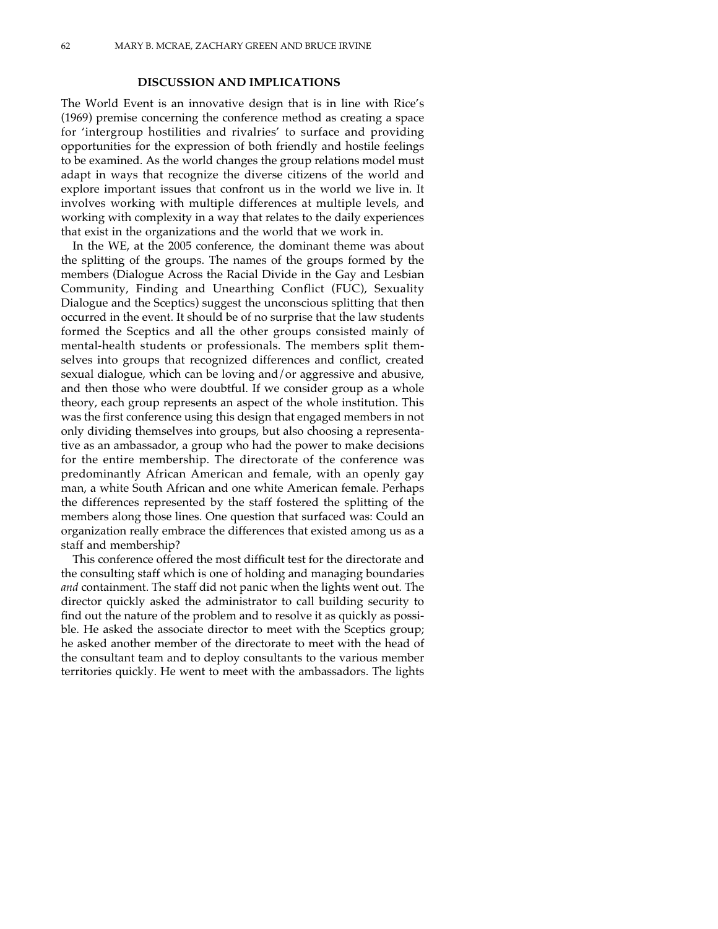#### **DISCUSSION AND IMPLICATIONS**

The World Event is an innovative design that is in line with Rice's (1969) premise concerning the conference method as creating a space for 'intergroup hostilities and rivalries' to surface and providing opportunities for the expression of both friendly and hostile feelings to be examined. As the world changes the group relations model must adapt in ways that recognize the diverse citizens of the world and explore important issues that confront us in the world we live in. It involves working with multiple differences at multiple levels, and working with complexity in a way that relates to the daily experiences that exist in the organizations and the world that we work in.

In the WE, at the 2005 conference, the dominant theme was about the splitting of the groups. The names of the groups formed by the members (Dialogue Across the Racial Divide in the Gay and Lesbian Community, Finding and Unearthing Conflict (FUC), Sexuality Dialogue and the Sceptics) suggest the unconscious splitting that then occurred in the event. It should be of no surprise that the law students formed the Sceptics and all the other groups consisted mainly of mental-health students or professionals. The members split themselves into groups that recognized differences and conflict, created sexual dialogue, which can be loving and/or aggressive and abusive, and then those who were doubtful. If we consider group as a whole theory, each group represents an aspect of the whole institution. This was the first conference using this design that engaged members in not only dividing themselves into groups, but also choosing a representative as an ambassador, a group who had the power to make decisions for the entire membership. The directorate of the conference was predominantly African American and female, with an openly gay man, a white South African and one white American female. Perhaps the differences represented by the staff fostered the splitting of the members along those lines. One question that surfaced was: Could an organization really embrace the differences that existed among us as a staff and membership?

This conference offered the most difficult test for the directorate and the consulting staff which is one of holding and managing boundaries *and* containment. The staff did not panic when the lights went out. The director quickly asked the administrator to call building security to find out the nature of the problem and to resolve it as quickly as possible. He asked the associate director to meet with the Sceptics group; he asked another member of the directorate to meet with the head of the consultant team and to deploy consultants to the various member territories quickly. He went to meet with the ambassadors. The lights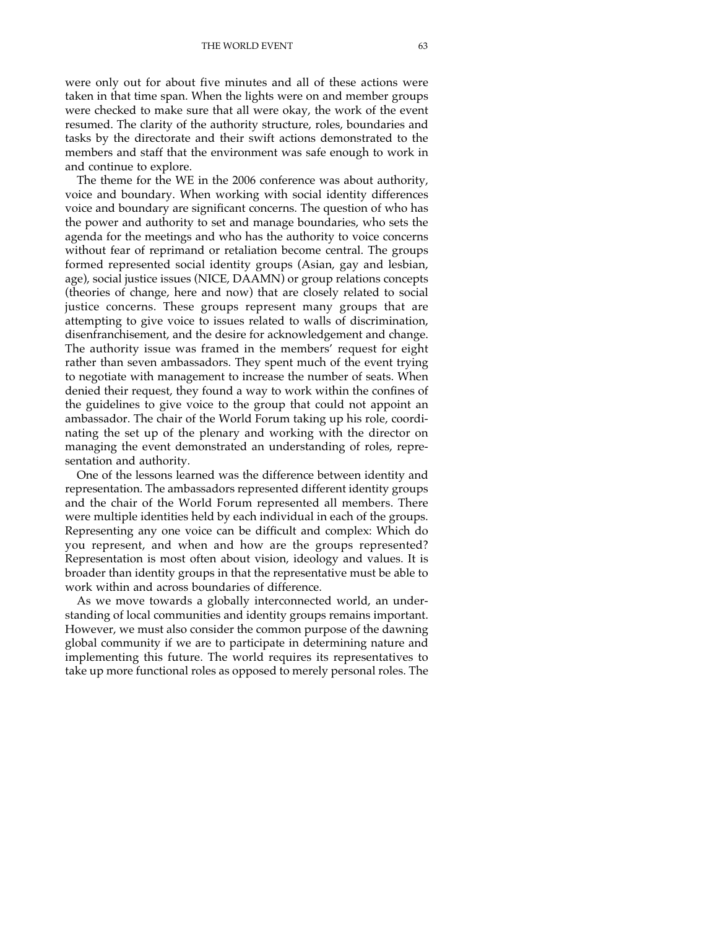were only out for about five minutes and all of these actions were taken in that time span. When the lights were on and member groups were checked to make sure that all were okay, the work of the event resumed. The clarity of the authority structure, roles, boundaries and tasks by the directorate and their swift actions demonstrated to the members and staff that the environment was safe enough to work in and continue to explore.

The theme for the WE in the 2006 conference was about authority, voice and boundary. When working with social identity differences voice and boundary are significant concerns. The question of who has the power and authority to set and manage boundaries, who sets the agenda for the meetings and who has the authority to voice concerns without fear of reprimand or retaliation become central. The groups formed represented social identity groups (Asian, gay and lesbian, age), social justice issues (NICE, DAAMN) or group relations concepts (theories of change, here and now) that are closely related to social justice concerns. These groups represent many groups that are attempting to give voice to issues related to walls of discrimination, disenfranchisement, and the desire for acknowledgement and change. The authority issue was framed in the members' request for eight rather than seven ambassadors. They spent much of the event trying to negotiate with management to increase the number of seats. When denied their request, they found a way to work within the confines of the guidelines to give voice to the group that could not appoint an ambassador. The chair of the World Forum taking up his role, coordinating the set up of the plenary and working with the director on managing the event demonstrated an understanding of roles, representation and authority.

One of the lessons learned was the difference between identity and representation. The ambassadors represented different identity groups and the chair of the World Forum represented all members. There were multiple identities held by each individual in each of the groups. Representing any one voice can be difficult and complex: Which do you represent, and when and how are the groups represented? Representation is most often about vision, ideology and values. It is broader than identity groups in that the representative must be able to work within and across boundaries of difference.

As we move towards a globally interconnected world, an understanding of local communities and identity groups remains important. However, we must also consider the common purpose of the dawning global community if we are to participate in determining nature and implementing this future. The world requires its representatives to take up more functional roles as opposed to merely personal roles. The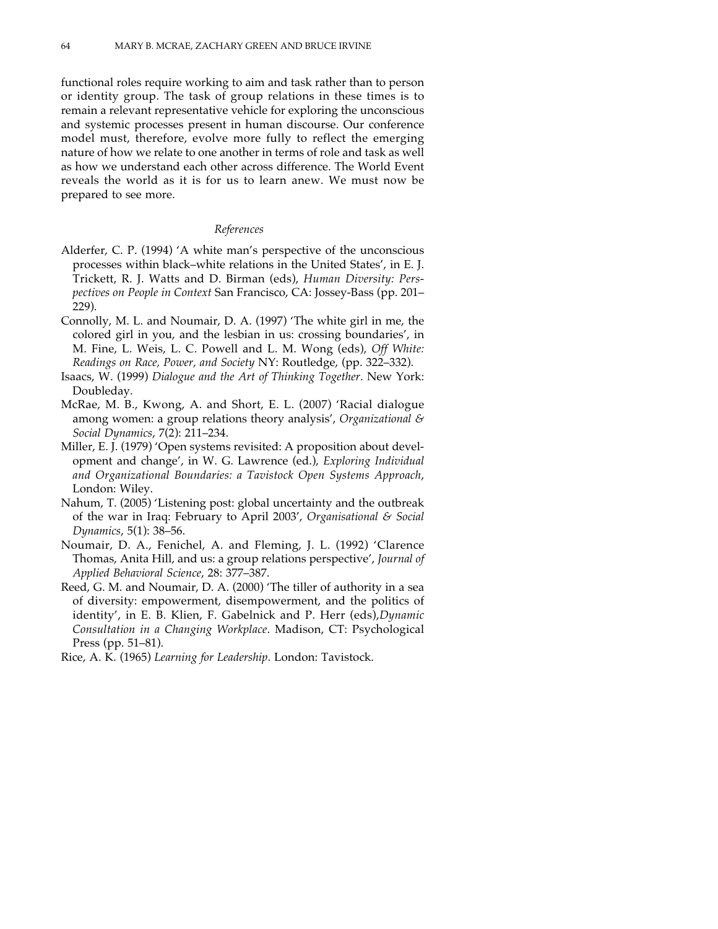functional roles require working to aim and task rather than to person or identity group. The task of group relations in these times is to remain a relevant representative vehicle for exploring the unconscious and systemic processes present in human discourse. Our conference model must, therefore, evolve more fully to reflect the emerging nature of how we relate to one another in terms of role and task as well as how we understand each other across difference. The World Event reveals the world as it is for us to learn anew. We must now be prepared to see more.

#### *References*

- Alderfer, C. P. (1994) 'A white man's perspective of the unconscious processes within black–white relations in the United States', in E. J. Trickett, R. J. Watts and D. Birman (eds), *Human Diversity: Perspectives on People in Context* San Francisco, CA: Jossey-Bass (pp. 201– 229).
- Connolly, M. L. and Noumair, D. A. (1997) 'The white girl in me, the colored girl in you, and the lesbian in us: crossing boundaries', in M. Fine, L. Weis, L. C. Powell and L. M. Wong (eds), *Off White: Readings on Race, Power, and Society* NY: Routledge, (pp. 322–332).
- Isaacs, W. (1999) *Dialogue and the Art of Thinking Together*. New York: Doubleday.
- McRae, M. B., Kwong, A. and Short, E. L. (2007) 'Racial dialogue among women: a group relations theory analysis', *Organizational & Social Dynamics*, 7(2): 211–234.
- Miller, E. J. (1979) 'Open systems revisited: A proposition about development and change', in W. G. Lawrence (ed.), *Exploring Individual and Organizational Boundaries: a Tavistock Open Systems Approach*, London: Wiley.
- Nahum, T. (2005) 'Listening post: global uncertainty and the outbreak of the war in Iraq: February to April 2003', *Organisational & Social Dynamics*, 5(1): 38–56.
- Noumair, D. A., Fenichel, A. and Fleming, J. L. (1992) 'Clarence Thomas, Anita Hill, and us: a group relations perspective', *Journal of Applied Behavioral Science*, 28: 377–387.
- Reed, G. M. and Noumair, D. A. (2000) 'The tiller of authority in a sea of diversity: empowerment, disempowerment, and the politics of identity', in E. B. Klien, F. Gabelnick and P. Herr (eds),*Dynamic Consultation in a Changing Workplace*. Madison, CT: Psychological Press (pp. 51–81).
- Rice, A. K. (1965) *Learning for Leadership*. London: Tavistock.